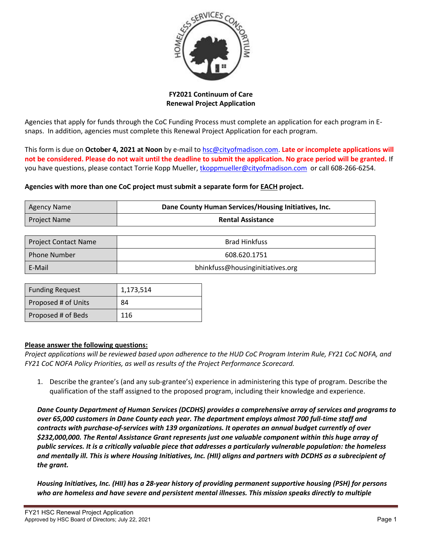

**FY2021 Continuum of Care Renewal Project Application**

Agencies that apply for funds through the CoC Funding Process must complete an application for each program in Esnaps. In addition, agencies must complete this Renewal Project Application for each program.

This form is due on **October 4, 2021 at Noon** by e-mail to [hsc@cityofmadison.com.](mailto:hsc@cityofmadison.com) **Late or incomplete applications will not be considered. Please do not wait until the deadline to submit the application. No grace period will be granted.** If you have questions, please contact Torrie Kopp Mueller, [tkoppmueller@cityofmadison.com](mailto:tkoppmueller@cityofmadison.com) or call 608-266-6254.

# **Agencies with more than one CoC project must submit a separate form for EACH project.**

| Agency Name  | Dane County Human Services/Housing Initiatives, Inc. |  |  |
|--------------|------------------------------------------------------|--|--|
| Project Name | <b>Rental Assistance</b>                             |  |  |

| <b>Project Contact Name</b> | <b>Brad Hinkfuss</b>             |  |
|-----------------------------|----------------------------------|--|
| l Phone Number              | 608.620.1751                     |  |
| E-Mail                      | bhinkfuss@housinginitiatives.org |  |

| <b>Funding Request</b> | 1,173,514 |  |
|------------------------|-----------|--|
| Proposed # of Units    | 84        |  |
| Proposed # of Beds     | 116       |  |

### **Please answer the following questions:**

*Project applications will be reviewed based upon adherence to the HUD CoC Program Interim Rule, FY21 CoC NOFA, and FY21 CoC NOFA Policy Priorities, as well as results of the Project Performance Scorecard.*

1. Describe the grantee's (and any sub-grantee's) experience in administering this type of program. Describe the qualification of the staff assigned to the proposed program, including their knowledge and experience.

*Dane County Department of Human Services (DCDHS) provides a comprehensive array of services and programs to over 65,000 customers in Dane County each year. The department employs almost 700 full-time staff and contracts with purchase-of-services with 139 organizations. It operates an annual budget currently of over \$232,000,000. The Rental Assistance Grant represents just one valuable component within this huge array of public services. It is a critically valuable piece that addresses a particularly vulnerable population: the homeless and mentally ill. This is where Housing Initiatives, Inc. (HII) aligns and partners with DCDHS as a subrecipient of the grant.*

*Housing Initiatives, Inc. (HII) has a 28-year history of providing permanent supportive housing (PSH) for persons who are homeless and have severe and persistent mental illnesses. This mission speaks directly to multiple*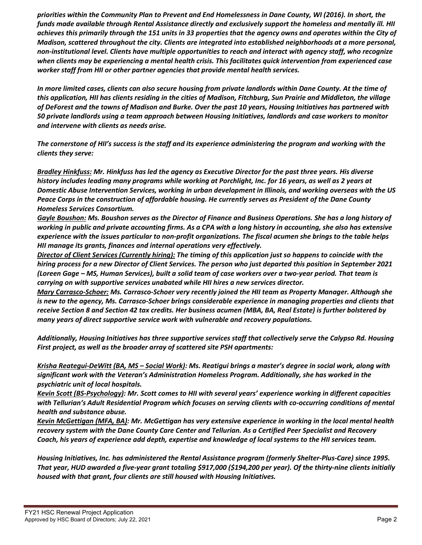*priorities within the Community Plan to Prevent and End Homelessness in Dane County, WI (2016). In short, the funds made available through Rental Assistance directly and exclusively support the homeless and mentally ill. HII achieves this primarily through the 151 units in 33 properties that the agency owns and operates within the City of Madison, scattered throughout the city. Clients are integrated into established neighborhoods at a more personal, non-institutional level. Clients have multiple opportunities to reach and interact with agency staff, who recognize when clients may be experiencing a mental health crisis. This facilitates quick intervention from experienced case worker staff from HII or other partner agencies that provide mental health services.*

*In more limited cases, clients can also secure housing from private landlords within Dane County. At the time of this application, HII has clients residing in the cities of Madison, Fitchburg, Sun Prairie and Middleton, the village of DeForest and the towns of Madison and Burke. Over the past 10 years, Housing Initiatives has partnered with 50 private landlords using a team approach between Housing Initiatives, landlords and case workers to monitor and intervene with clients as needs arise.*

*The cornerstone of HII's success is the staff and its experience administering the program and working with the clients they serve:*

*Bradley Hinkfuss: Mr. Hinkfuss has led the agency as Executive Director for the past three years. His diverse history includes leading many programs while working at Porchlight, Inc. for 16 years, as well as 2 years at Domestic Abuse Intervention Services, working in urban development in Illinois, and working overseas with the US Peace Corps in the construction of affordable housing. He currently serves as President of the Dane County Homeless Services Consortium.* 

*Gayle Boushon: Ms. Boushon serves as the Director of Finance and Business Operations. She has a long history of working in public and private accounting firms. As a CPA with a long history in accounting, she also has extensive experience with the issues particular to non-profit organizations. The fiscal acumen she brings to the table helps HII manage its grants, finances and internal operations very effectively.*

*Director of Client Services (Currently hiring): The timing of this application just so happens to coincide with the hiring process for a new Director of Client Services. The person who just departed this position in September 2021 (Loreen Gage – MS, Human Services), built a solid team of case workers over a two-year period. That team is carrying on with supportive services unabated while HII hires a new services director.*

*Mary Carrasco-Schoer: Ms. Carrasco-Schoer very recently joined the HII team as Property Manager. Although she is new to the agency, Ms. Carrasco-Schoer brings considerable experience in managing properties and clients that receive Section 8 and Section 42 tax credits. Her business acumen (MBA, BA, Real Estate) is further bolstered by many years of direct supportive service work with vulnerable and recovery populations.*

*Additionally, Housing Initiatives has three supportive services staff that collectively serve the Calypso Rd. Housing First project, as well as the broader array of scattered site PSH apartments:*

*Krisha Reategui-DeWitt (BA, MS – Social Work): Ms. Reatigui brings a master's degree in social work, along with significant work with the Veteran's Administration Homeless Program. Additionally, she has worked in the psychiatric unit of local hospitals.* 

*Kevin Scott (BS-Psychology): Mr. Scott comes to HII with several years' experience working in different capacities with Tellurian's Adult Residential Program which focuses on serving clients with co-occurring conditions of mental health and substance abuse.*

*Kevin McGettigan (MFA, BA): Mr. McGettigan has very extensive experience in working in the local mental health recovery system with the Dane County Care Center and Tellurian. As a Certified Peer Specialist and Recovery Coach, his years of experience add depth, expertise and knowledge of local systems to the HII services team.*

*Housing Initiatives, Inc. has administered the Rental Assistance program (formerly Shelter-Plus-Care) since 1995. That year, HUD awarded a five-year grant totaling \$917,000 (\$194,200 per year). Of the thirty-nine clients initially housed with that grant, four clients are still housed with Housing Initiatives.*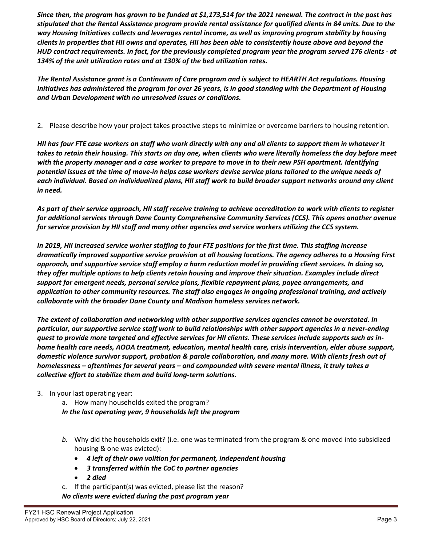*Since then, the program has grown to be funded at \$1,173,514 for the 2021 renewal. The contract in the past has stipulated that the Rental Assistance program provide rental assistance for qualified clients in 84 units. Due to the way Housing Initiatives collects and leverages rental income, as well as improving program stability by housing clients in properties that HII owns and operates, HII has been able to consistently house above and beyond the HUD contract requirements. In fact, for the previously completed program year the program served 176 clients - at 134% of the unit utilization rates and at 130% of the bed utilization rates.*

*The Rental Assistance grant is a Continuum of Care program and is subject to HEARTH Act regulations. Housing Initiatives has administered the program for over 26 years, is in good standing with the Department of Housing and Urban Development with no unresolved issues or conditions.* 

2. Please describe how your project takes proactive steps to minimize or overcome barriers to housing retention.

*HII has four FTE case workers on staff who work directly with any and all clients to support them in whatever it takes to retain their housing. This starts on day one, when clients who were literally homeless the day before meet with the property manager and a case worker to prepare to move in to their new PSH apartment. Identifying potential issues at the time of move-in helps case workers devise service plans tailored to the unique needs of each individual. Based on individualized plans, HII staff work to build broader support networks around any client in need.*

*As part of their service approach, HII staff receive training to achieve accreditation to work with clients to register for additional services through Dane County Comprehensive Community Services (CCS). This opens another avenue for service provision by HII staff and many other agencies and service workers utilizing the CCS system.*

*In 2019, HII increased service worker staffing to four FTE positions for the first time. This staffing increase dramatically improved supportive service provision at all housing locations. The agency adheres to a Housing First approach, and supportive service staff employ a harm reduction model in providing client services. In doing so, they offer multiple options to help clients retain housing and improve their situation. Examples include direct support for emergent needs, personal service plans, flexible repayment plans, payee arrangements, and application to other community resources. The staff also engages in ongoing professional training, and actively collaborate with the broader Dane County and Madison homeless services network.* 

*The extent of collaboration and networking with other supportive services agencies cannot be overstated. In particular, our supportive service staff work to build relationships with other support agencies in a never-ending quest to provide more targeted and effective services for HII clients. These services include supports such as inhome health care needs, AODA treatment, education, mental health care, crisis intervention, elder abuse support, domestic violence survivor support, probation & parole collaboration, and many more. With clients fresh out of homelessness – oftentimes for several years – and compounded with severe mental illness, it truly takes a collective effort to stabilize them and build long-term solutions.*

# 3. In your last operating year:

a. How many households exited the program?

*In the last operating year, 9 households left the program*

- *b.* Why did the households exit? (i.e. one was terminated from the program & one moved into subsidized housing & one was evicted):
	- *4 left of their own volition for permanent, independent housing*
	- *3 transferred within the CoC to partner agencies*
	- *2 died*
- c. If the participant(s) was evicted, please list the reason?

*No clients were evicted during the past program year*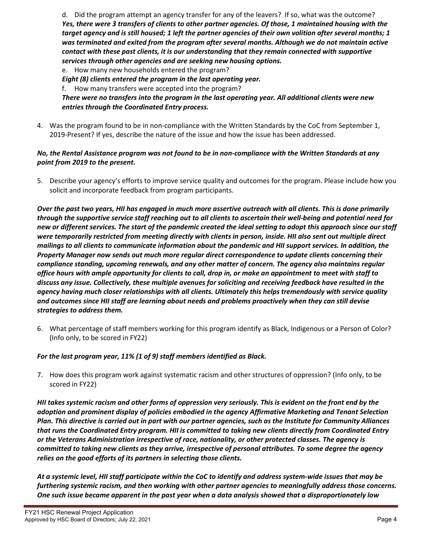d. Did the program attempt an agency transfer for any of the leavers? If so, what was the outcome? *Yes, there were 3 transfers of clients to other partner agencies. Of those, 1 maintained housing with the target agency and is still housed; 1 left the partner agencies of their own volition after several months; 1 was terminated and exited from the program after several months. Although we do not maintain active contact with these past clients, it is our understanding that they remain connected with supportive services through other agencies and are seeking new housing options.* e. How many new households entered the program? *Eight (8) clients entered the program in the last operating year.*

f. How many transfers were accepted into the program?

*There were no transfers into the program in the last operating year. All additional clients were new entries through the Coordinated Entry process.*

4. Was the program found to be in non-compliance with the Written Standards by the CoC from September 1, 2019-Present? If yes, describe the nature of the issue and how the issue has been addressed.

## *No, the Rental Assistance program was not found to be in non-compliance with the Written Standards at any point from 2019 to the present.*

5. Describe your agency's efforts to improve service quality and outcomes for the program. Please include how you solicit and incorporate feedback from program participants.

*Over the past two years, HII has engaged in much more assertive outreach with all clients. This is done primarily through the supportive service staff reaching out to all clients to ascertain their well-being and potential need for new or different services. The start of the pandemic created the ideal setting to adopt this approach since our staff were temporarily restricted from meeting directly with clients in person, inside. HII also sent out multiple direct mailings to all clients to communicate information about the pandemic and HII support services. In addition, the Property Manager now sends out much more regular direct correspondence to update clients concerning their compliance standing, upcoming renewals, and any other matter of concern. The agency also maintains regular office hours with ample opportunity for clients to call, drop in, or make an appointment to meet with staff to discuss any issue. Collectively, these multiple avenues for soliciting and receiving feedback have resulted in the agency having much closer relationships with all clients. Ultimately this helps tremendously with service quality and outcomes since HII staff are learning about needs and problems proactively when they can still devise strategies to address them.* 

6. What percentage of staff members working for this program identify as Black, Indigenous or a Person of Color? (Info only, to be scored in FY22)

# *For the last program year, 11% (1 of 9) staff members identified as Black.*

7. How does this program work against systematic racism and other structures of oppression? (Info only, to be scored in FY22)

*HII takes systemic racism and other forms of oppression very seriously. This is evident on the front end by the adoption and prominent display of policies embodied in the agency Affirmative Marketing and Tenant Selection Plan. This directive is carried out in part with our partner agencies, such as the Institute for Community Alliances that runs the Coordinated Entry program. HII is committed to taking new clients directly from Coordinated Entry or the Veterans Administration irrespective of race, nationality, or other protected classes. The agency is committed to taking new clients as they arrive, irrespective of personal attributes. To some degree the agency relies on the good efforts of its partners in selecting those clients.*

*At a systemic level, HII staff participate within the CoC to identify and address system-wide issues that may be furthering systemic racism, and then working with other partner agencies to meaningfully address those concerns. One such issue became apparent in the past year when a data analysis showed that a disproportionately low*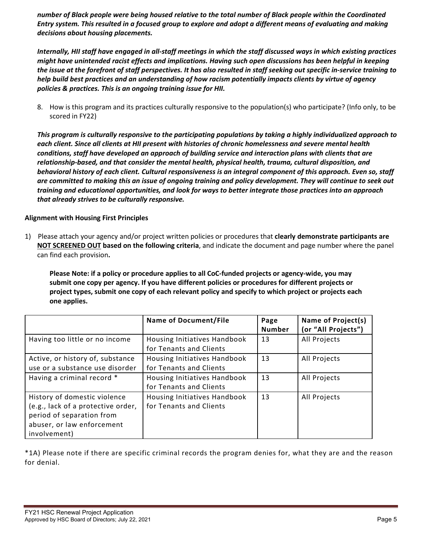*number of Black people were being housed relative to the total number of Black people within the Coordinated Entry system. This resulted in a focused group to explore and adopt a different means of evaluating and making decisions about housing placements.*

*Internally, HII staff have engaged in all-staff meetings in which the staff discussed ways in which existing practices might have unintended racist effects and implications. Having such open discussions has been helpful in keeping the issue at the forefront of staff perspectives. It has also resulted in staff seeking out specific in-service training to help build best practices and an understanding of how racism potentially impacts clients by virtue of agency policies & practices. This is an ongoing training issue for HII.*

8. How is this program and its practices culturally responsive to the population(s) who participate? (Info only, to be scored in FY22)

*This program is culturally responsive to the participating populations by taking a highly individualized approach to each client. Since all clients at HII present with histories of chronic homelessness and severe mental health conditions, staff have developed an approach of building service and interaction plans with clients that are relationship-based, and that consider the mental health, physical health, trauma, cultural disposition, and behavioral history of each client. Cultural responsiveness is an integral component of this approach. Even so, staff are committed to making this an issue of ongoing training and policy development. They will continue to seek out training and educational opportunities, and look for ways to better integrate those practices into an approach that already strives to be culturally responsive.*

# **Alignment with Housing First Principles**

1) Please attach your agency and/or project written policies or procedures that **clearly demonstrate participants are NOT SCREENED OUT based on the following criteria**, and indicate the document and page number where the panel can find each provision**.** 

**Please Note: if a policy or procedure applies to all CoC-funded projects or agency-wide, you may submit one copy per agency. If you have different policies or procedures for different projects or project types, submit one copy of each relevant policy and specify to which project or projects each one applies.**

|                                                                                                                                               | <b>Name of Document/File</b>                            | Page<br><b>Number</b> | Name of Project(s)<br>(or "All Projects") |
|-----------------------------------------------------------------------------------------------------------------------------------------------|---------------------------------------------------------|-----------------------|-------------------------------------------|
| Having too little or no income                                                                                                                | Housing Initiatives Handbook<br>for Tenants and Clients | 13                    | All Projects                              |
| Active, or history of, substance<br>use or a substance use disorder                                                                           | Housing Initiatives Handbook<br>for Tenants and Clients | 13                    | All Projects                              |
| Having a criminal record *                                                                                                                    | Housing Initiatives Handbook<br>for Tenants and Clients | 13                    | All Projects                              |
| History of domestic violence<br>(e.g., lack of a protective order,<br>period of separation from<br>abuser, or law enforcement<br>involvement) | Housing Initiatives Handbook<br>for Tenants and Clients | 13                    | All Projects                              |

\*1A) Please note if there are specific criminal records the program denies for, what they are and the reason for denial.